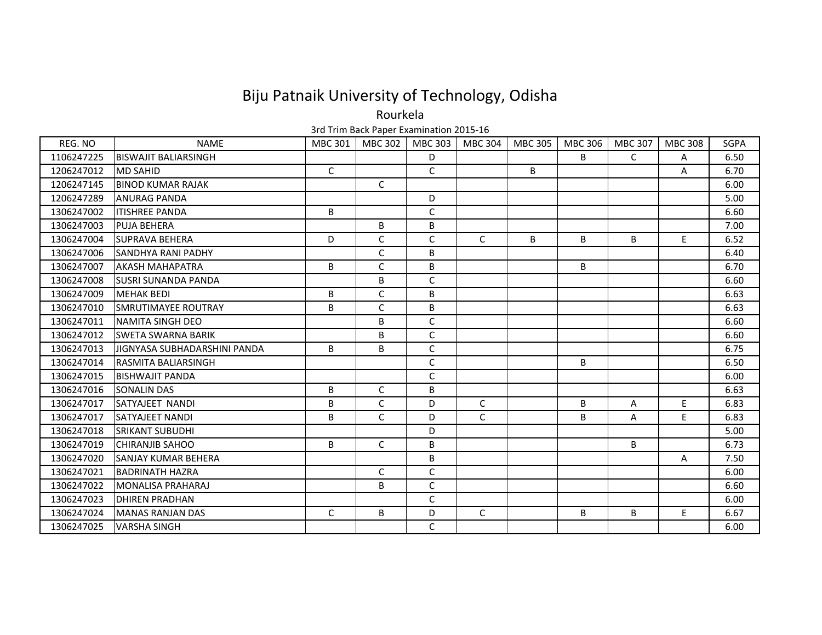Rourkela

| REG. NO    | <b>NAME</b>                   | <b>MBC 301</b> | MBC 302      | <b>MBC 303</b> | MBC 304      | <b>MBC 305</b> | MBC 306 | <b>MBC 307</b> | <b>MBC 308</b> | <b>SGPA</b> |
|------------|-------------------------------|----------------|--------------|----------------|--------------|----------------|---------|----------------|----------------|-------------|
| 1106247225 | <b>BISWAJIT BALIARSINGH</b>   |                |              | D              |              |                | B       | $\mathsf{C}$   | A              | 6.50        |
| 1206247012 | <b>MD SAHID</b>               | $\mathsf{C}$   |              | C              |              | B              |         |                | A              | 6.70        |
| 1206247145 | <b>BINOD KUMAR RAJAK</b>      |                | C            |                |              |                |         |                |                | 6.00        |
| 1206247289 | <b>ANURAG PANDA</b>           |                |              | D              |              |                |         |                |                | 5.00        |
| 1306247002 | <b>ITISHREE PANDA</b>         | B              |              | $\mathsf C$    |              |                |         |                |                | 6.60        |
| 1306247003 | <b>PUJA BEHERA</b>            |                | B            | B              |              |                |         |                |                | 7.00        |
| 1306247004 | <b>ISUPRAVA BEHERA</b>        | D              | C            | C              | $\mathsf{C}$ | B              | B       | B              | E.             | 6.52        |
| 1306247006 | <b>SANDHYA RANI PADHY</b>     |                | C            | B              |              |                |         |                |                | 6.40        |
| 1306247007 | <b>AKASH MAHAPATRA</b>        | B              | C            | B              |              |                | B       |                |                | 6.70        |
| 1306247008 | <b>ISUSRI SUNANDA PANDA</b>   |                | B            | C              |              |                |         |                |                | 6.60        |
| 1306247009 | <b>MEHAK BEDI</b>             | B              | C            | B              |              |                |         |                |                | 6.63        |
| 1306247010 | <b>ISMRUTIMAYEE ROUTRAY</b>   | B              | C            | B              |              |                |         |                |                | 6.63        |
| 1306247011 | NAMITA SINGH DEO              |                | B            | C              |              |                |         |                |                | 6.60        |
| 1306247012 | <b>SWETA SWARNA BARIK</b>     |                | B            | $\mathsf C$    |              |                |         |                |                | 6.60        |
| 1306247013 | IJIGNYASA SUBHADARSHINI PANDA | B              | B            | C              |              |                |         |                |                | 6.75        |
| 1306247014 | <b>RASMITA BALIARSINGH</b>    |                |              | C              |              |                | B       |                |                | 6.50        |
| 1306247015 | <b>BISHWAJIT PANDA</b>        |                |              | C              |              |                |         |                |                | 6.00        |
| 1306247016 | <b>SONALIN DAS</b>            | B              | C            | B              |              |                |         |                |                | 6.63        |
| 1306247017 | <b>SATYAJEET NANDI</b>        | В              | C            | D              | $\mathsf C$  |                | B       | Α              | E.             | 6.83        |
| 1306247017 | <b>SATYAJEET NANDI</b>        | B              | $\mathsf{C}$ | D              | $\mathsf{C}$ |                | B       | Α              | E              | 6.83        |
| 1306247018 | <b>SRIKANT SUBUDHI</b>        |                |              | D              |              |                |         |                |                | 5.00        |
| 1306247019 | <b>I</b> CHIRANJIB SAHOO      | B              | C            | B              |              |                |         | B              |                | 6.73        |
| 1306247020 | <b>SANJAY KUMAR BEHERA</b>    |                |              | B              |              |                |         |                | A              | 7.50        |
| 1306247021 | <b>BADRINATH HAZRA</b>        |                | C            | C              |              |                |         |                |                | 6.00        |
| 1306247022 | <b>MONALISA PRAHARAJ</b>      |                | B            | C              |              |                |         |                |                | 6.60        |
| 1306247023 | <b>DHIREN PRADHAN</b>         |                |              | C              |              |                |         |                |                | 6.00        |
| 1306247024 | <b>MANAS RANJAN DAS</b>       | $\mathsf C$    | B            | D              | C            |                | B       | B              | E              | 6.67        |
| 1306247025 | <b>VARSHA SINGH</b>           |                |              | C              |              |                |         |                |                | 6.00        |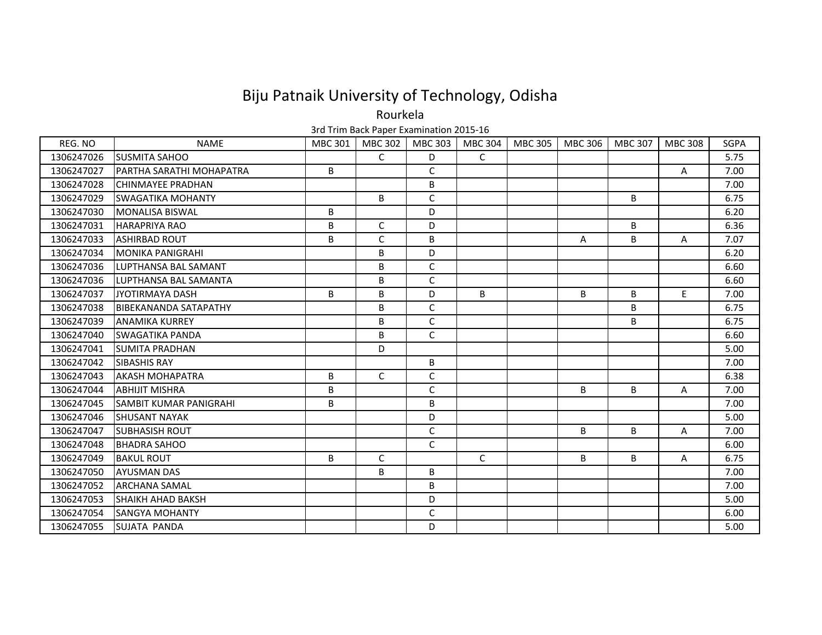Rourkela

| REG. NO    | <b>NAME</b>                    | <b>MBC 301</b> | MBC 302 | MBC 303      | MBC 304      | MBC 305 | MBC 306 | MBC 307      | <b>MBC 308</b> | <b>SGPA</b> |
|------------|--------------------------------|----------------|---------|--------------|--------------|---------|---------|--------------|----------------|-------------|
| 1306247026 | <b>ISUSMITA SAHOO</b>          |                | C       | D            | $\mathsf{C}$ |         |         |              |                | 5.75        |
| 1306247027 | IPARTHA SARATHI MOHAPATRA      | В              |         | C            |              |         |         |              | $\mathsf{A}$   | 7.00        |
| 1306247028 | <b>ICHINMAYEE PRADHAN</b>      |                |         | B            |              |         |         |              |                | 7.00        |
| 1306247029 | <b>SWAGATIKA MOHANTY</b>       |                | B       | C            |              |         |         | B            |                | 6.75        |
| 1306247030 | <b>MONALISA BISWAL</b>         | B              |         | D            |              |         |         |              |                | 6.20        |
| 1306247031 | <b>HARAPRIYA RAO</b>           | B              | C       | D            |              |         |         | <sub>B</sub> |                | 6.36        |
| 1306247033 | <b>ASHIRBAD ROUT</b>           | B              | C       | B            |              |         | A       | B            | A              | 7.07        |
| 1306247034 | <b>MONIKA PANIGRAHI</b>        |                | B       | D            |              |         |         |              |                | 6.20        |
| 1306247036 | <b>ILUPTHANSA BAL SAMANT</b>   |                | B       | C            |              |         |         |              |                | 6.60        |
| 1306247036 | <b>LUPTHANSA BAL SAMANTA</b>   |                | B       | $\mathsf C$  |              |         |         |              |                | 6.60        |
| 1306247037 | JYOTIRMAYA DASH                | B              | B       | D            | B            |         | B       | B            | E.             | 7.00        |
| 1306247038 | IBIBEKANANDA SATAPATHY         |                | B       | C            |              |         |         | B            |                | 6.75        |
| 1306247039 | <b>JANAMIKA KURREY</b>         |                | B       | $\mathsf{C}$ |              |         |         | B            |                | 6.75        |
| 1306247040 | <b>SWAGATIKA PANDA</b>         |                | B       | $\mathsf{C}$ |              |         |         |              |                | 6.60        |
| 1306247041 | <b>SUMITA PRADHAN</b>          |                | D       |              |              |         |         |              |                | 5.00        |
| 1306247042 | <b>SIBASHIS RAY</b>            |                |         | B            |              |         |         |              |                | 7.00        |
| 1306247043 | <b>AKASH MOHAPATRA</b>         | B              | C       | $\mathsf C$  |              |         |         |              |                | 6.38        |
| 1306247044 | <b>ABHIJIT MISHRA</b>          | B              |         | C            |              |         | B       | B            | A              | 7.00        |
| 1306247045 | <b>ISAMBIT KUMAR PANIGRAHI</b> | B              |         | B            |              |         |         |              |                | 7.00        |
| 1306247046 | <b>SHUSANT NAYAK</b>           |                |         | D            |              |         |         |              |                | 5.00        |
| 1306247047 | <b>ISUBHASISH ROUT</b>         |                |         | C            |              |         | B       | B            | A              | 7.00        |
| 1306247048 | <b>BHADRA SAHOO</b>            |                |         | C            |              |         |         |              |                | 6.00        |
| 1306247049 | <b>BAKUL ROUT</b>              | B              | C       |              | $\mathsf{C}$ |         | B       | B            | Α              | 6.75        |
| 1306247050 | <b>AYUSMAN DAS</b>             |                | B       | B            |              |         |         |              |                | 7.00        |
| 1306247052 | <b>ARCHANA SAMAL</b>           |                |         | B            |              |         |         |              |                | 7.00        |
| 1306247053 | <b>SHAIKH AHAD BAKSH</b>       |                |         | D            |              |         |         |              |                | 5.00        |
| 1306247054 | <b>ISANGYA MOHANTY</b>         |                |         | C            |              |         |         |              |                | 6.00        |
| 1306247055 | <b>SUJATA PANDA</b>            |                |         | D            |              |         |         |              |                | 5.00        |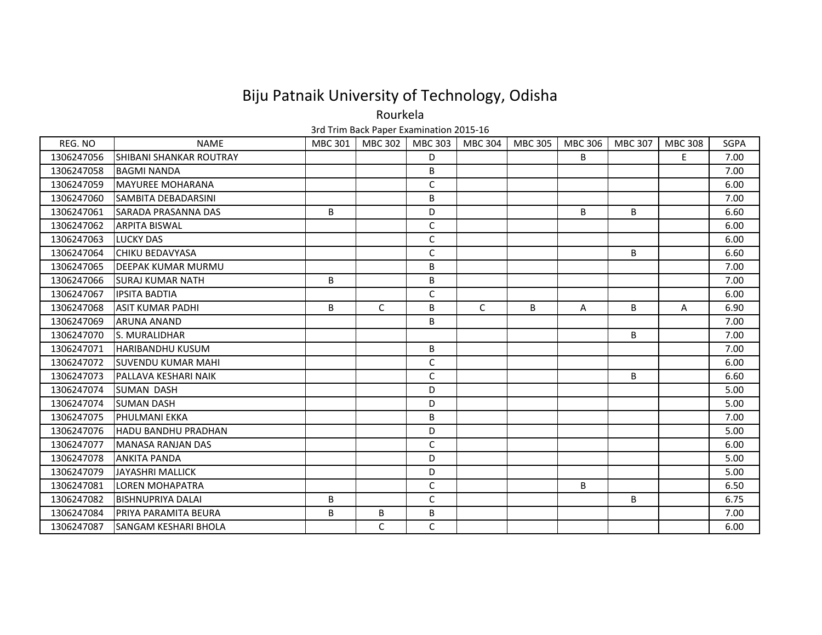Rourkela

| REG. NO    | <b>NAME</b>                    | <b>MBC 301</b> | MBC 302      | <b>MBC 303</b> | MBC 304 | MBC 305 | MBC 306 | MBC 307 | <b>MBC 308</b> | <b>SGPA</b> |
|------------|--------------------------------|----------------|--------------|----------------|---------|---------|---------|---------|----------------|-------------|
| 1306247056 | <b>SHIBANI SHANKAR ROUTRAY</b> |                |              | D              |         |         | B       |         | E.             | 7.00        |
| 1306247058 | <b>BAGMI NANDA</b>             |                |              | B              |         |         |         |         |                | 7.00        |
| 1306247059 | <b>IMAYUREE MOHARANA</b>       |                |              | $\mathsf{C}$   |         |         |         |         |                | 6.00        |
| 1306247060 | <b>SAMBITA DEBADARSINI</b>     |                |              | B              |         |         |         |         |                | 7.00        |
| 1306247061 | <b>SARADA PRASANNA DAS</b>     | B              |              | D              |         |         | B       | B       |                | 6.60        |
| 1306247062 | <b>ARPITA BISWAL</b>           |                |              | $\mathsf C$    |         |         |         |         |                | 6.00        |
| 1306247063 | <b>LUCKY DAS</b>               |                |              | $\mathsf{C}$   |         |         |         |         |                | 6.00        |
| 1306247064 | <b>CHIKU BEDAVYASA</b>         |                |              | $\mathsf C$    |         |         |         | B       |                | 6.60        |
| 1306247065 | <b>IDEEPAK KUMAR MURMU</b>     |                |              | B              |         |         |         |         |                | 7.00        |
| 1306247066 | <b>ISURAJ KUMAR NATH</b>       | B              |              | B              |         |         |         |         |                | 7.00        |
| 1306247067 | <b>IPSITA BADTIA</b>           |                |              | $\mathsf{C}$   |         |         |         |         |                | 6.00        |
| 1306247068 | <b>ASIT KUMAR PADHI</b>        | B              | C            | B              | C       | B       | A       | B       | A              | 6.90        |
| 1306247069 | <b>ARUNA ANAND</b>             |                |              | B              |         |         |         |         |                | 7.00        |
| 1306247070 | <b>S. MURALIDHAR</b>           |                |              |                |         |         |         | B       |                | 7.00        |
| 1306247071 | <b>HARIBANDHU KUSUM</b>        |                |              | B              |         |         |         |         |                | 7.00        |
| 1306247072 | <b>SUVENDU KUMAR MAHI</b>      |                |              | $\mathsf C$    |         |         |         |         |                | 6.00        |
| 1306247073 | <b>IPALLAVA KESHARI NAIK</b>   |                |              | C              |         |         |         | B       |                | 6.60        |
| 1306247074 | <b>SUMAN DASH</b>              |                |              | D              |         |         |         |         |                | 5.00        |
| 1306247074 | <b>SUMAN DASH</b>              |                |              | D              |         |         |         |         |                | 5.00        |
| 1306247075 | <b>PHULMANI EKKA</b>           |                |              | B              |         |         |         |         |                | 7.00        |
| 1306247076 | <b>HADU BANDHU PRADHAN</b>     |                |              | D              |         |         |         |         |                | 5.00        |
| 1306247077 | <b>MANASA RANJAN DAS</b>       |                |              | $\mathsf C$    |         |         |         |         |                | 6.00        |
| 1306247078 | <b>ANKITA PANDA</b>            |                |              | D              |         |         |         |         |                | 5.00        |
| 1306247079 | JAYASHRI MALLICK               |                |              | D              |         |         |         |         |                | 5.00        |
| 1306247081 | LOREN MOHAPATRA                |                |              | $\mathsf{C}$   |         |         | B       |         |                | 6.50        |
| 1306247082 | IBISHNUPRIYA DALAI             | B              |              | C              |         |         |         | B       |                | 6.75        |
| 1306247084 | <b>PRIYA PARAMITA BEURA</b>    | B              | B            | B              |         |         |         |         |                | 7.00        |
| 1306247087 | <b>SANGAM KESHARI BHOLA</b>    |                | $\mathsf{C}$ | $\mathsf{C}$   |         |         |         |         |                | 6.00        |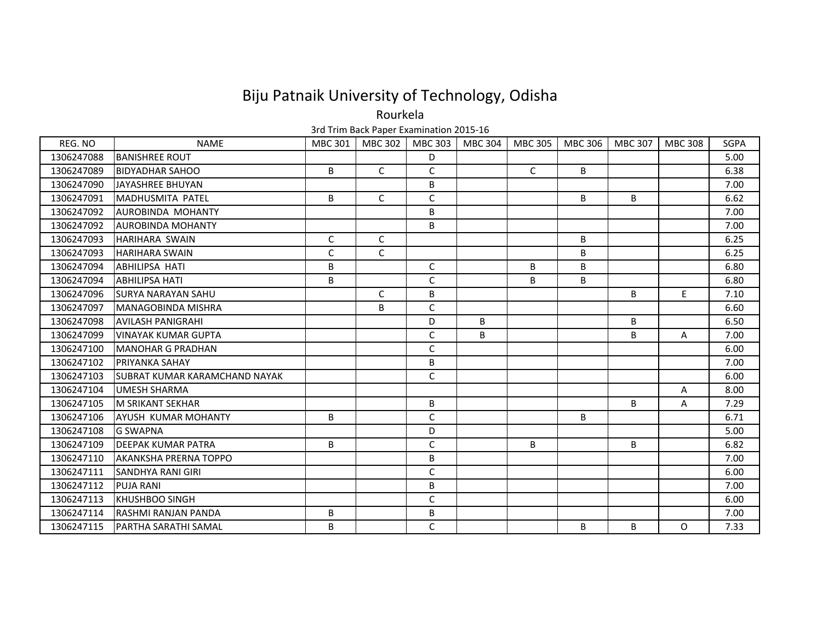Rourkela

| REG. NO    | <b>NAME</b>                    | <b>MBC 301</b> | MBC 302      | MBC 303      | MBC 304 | MBC 305 | MBC 306 | MBC 307      | <b>MBC 308</b> | <b>SGPA</b> |
|------------|--------------------------------|----------------|--------------|--------------|---------|---------|---------|--------------|----------------|-------------|
| 1306247088 | <b>BANISHREE ROUT</b>          |                |              | D            |         |         |         |              |                | 5.00        |
| 1306247089 | <b>BIDYADHAR SAHOO</b>         | B              | $\mathsf{C}$ | $\mathsf{C}$ |         | C       | B       |              |                | 6.38        |
| 1306247090 | JAYASHREE BHUYAN               |                |              | B            |         |         |         |              |                | 7.00        |
| 1306247091 | <b>MADHUSMITA PATEL</b>        | B              | $\mathsf{C}$ | C            |         |         | B       | B            |                | 6.62        |
| 1306247092 | <b>AUROBINDA MOHANTY</b>       |                |              | B            |         |         |         |              |                | 7.00        |
| 1306247092 | <b>AUROBINDA MOHANTY</b>       |                |              | B            |         |         |         |              |                | 7.00        |
| 1306247093 | HARIHARA SWAIN                 | $\mathsf{C}$   | $\mathsf{C}$ |              |         |         | B       |              |                | 6.25        |
| 1306247093 | <b>HARIHARA SWAIN</b>          | C              | $\mathsf{C}$ |              |         |         | B       |              |                | 6.25        |
| 1306247094 | <b>ABHILIPSA HATI</b>          | В              |              | C            |         | B       | B       |              |                | 6.80        |
| 1306247094 | <b>ABHILIPSA HATI</b>          | B              |              | $\mathsf C$  |         | B       | B       |              |                | 6.80        |
| 1306247096 | <b>SURYA NARAYAN SAHU</b>      |                | C            | B            |         |         |         | B            | E.             | 7.10        |
| 1306247097 | <b>MANAGOBINDA MISHRA</b>      |                | B            | C            |         |         |         |              |                | 6.60        |
| 1306247098 | <b>AVILASH PANIGRAHI</b>       |                |              | D            | B.      |         |         | <sub>B</sub> |                | 6.50        |
| 1306247099 | <b>VINAYAK KUMAR GUPTA</b>     |                |              | $\mathsf{C}$ | B       |         |         | B            | A              | 7.00        |
| 1306247100 | <b>MANOHAR G PRADHAN</b>       |                |              | C            |         |         |         |              |                | 6.00        |
| 1306247102 | PRIYANKA SAHAY                 |                |              | B            |         |         |         |              |                | 7.00        |
| 1306247103 | ISUBRAT KUMAR KARAMCHAND NAYAK |                |              | $\mathsf C$  |         |         |         |              |                | 6.00        |
| 1306247104 | UMESH SHARMA                   |                |              |              |         |         |         |              | A              | 8.00        |
| 1306247105 | M SRIKANT SEKHAR               |                |              | B            |         |         |         | B            | A              | 7.29        |
| 1306247106 | <b>AYUSH KUMAR MOHANTY</b>     | B              |              | $\mathsf C$  |         |         | B       |              |                | 6.71        |
| 1306247108 | <b>G SWAPNA</b>                |                |              | D            |         |         |         |              |                | 5.00        |
| 1306247109 | <b>DEEPAK KUMAR PATRA</b>      | B              |              | $\mathsf C$  |         | B       |         | B            |                | 6.82        |
| 1306247110 | <b>AKANKSHA PRERNA TOPPO</b>   |                |              | B            |         |         |         |              |                | 7.00        |
| 1306247111 | <b>SANDHYA RANI GIRI</b>       |                |              | $\mathsf C$  |         |         |         |              |                | 6.00        |
| 1306247112 | <b>PUJA RANI</b>               |                |              | B            |         |         |         |              |                | 7.00        |
| 1306247113 | <b>IKHUSHBOO SINGH</b>         |                |              | C            |         |         |         |              |                | 6.00        |
| 1306247114 | <b>RASHMI RANJAN PANDA</b>     | В              |              | $\sf B$      |         |         |         |              |                | 7.00        |
| 1306247115 | PARTHA SARATHI SAMAL           | B              |              | $\mathsf{C}$ |         |         | B       | B            | $\circ$        | 7.33        |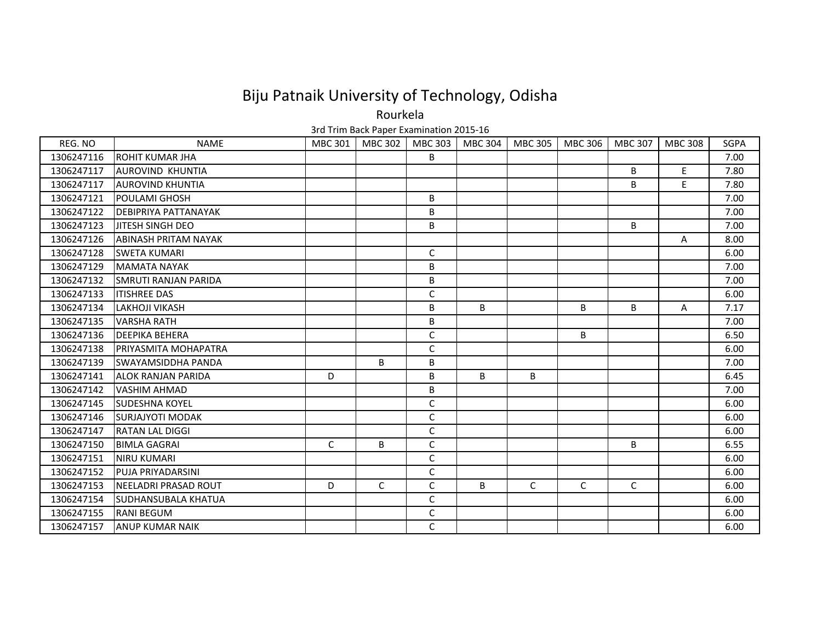Rourkela

| REG. NO    | <b>NAME</b>                 | <b>MBC 301</b> | MBC 302 | MBC 303      | MBC 304 | MBC 305 | MBC 306 | MBC 307 | <b>MBC 308</b> | <b>SGPA</b> |
|------------|-----------------------------|----------------|---------|--------------|---------|---------|---------|---------|----------------|-------------|
| 1306247116 | <b>ROHIT KUMAR JHA</b>      |                |         | B            |         |         |         |         |                | 7.00        |
| 1306247117 | <b>AUROVIND KHUNTIA</b>     |                |         |              |         |         |         | B       | E.             | 7.80        |
| 1306247117 | <b>AUROVIND KHUNTIA</b>     |                |         |              |         |         |         | B       | E.             | 7.80        |
| 1306247121 | <b>POULAMI GHOSH</b>        |                |         | B            |         |         |         |         |                | 7.00        |
| 1306247122 | <b>DEBIPRIYA PATTANAYAK</b> |                |         | B            |         |         |         |         |                | 7.00        |
| 1306247123 | <b>JITESH SINGH DEO</b>     |                |         | B            |         |         |         | B       |                | 7.00        |
| 1306247126 | <b>ABINASH PRITAM NAYAK</b> |                |         |              |         |         |         |         | Α              | 8.00        |
| 1306247128 | <b>SWETA KUMARI</b>         |                |         | $\mathsf{C}$ |         |         |         |         |                | 6.00        |
| 1306247129 | <b>MAMATA NAYAK</b>         |                |         | B            |         |         |         |         |                | 7.00        |
| 1306247132 | <b>SMRUTI RANJAN PARIDA</b> |                |         | B            |         |         |         |         |                | 7.00        |
| 1306247133 | <b>ITISHREE DAS</b>         |                |         | C            |         |         |         |         |                | 6.00        |
| 1306247134 | LAKHOJI VIKASH              |                |         | B            | B       |         | B       | B       | Α              | 7.17        |
| 1306247135 | <b>VARSHA RATH</b>          |                |         | B            |         |         |         |         |                | 7.00        |
| 1306247136 | <b>DEEPIKA BEHERA</b>       |                |         | $\mathsf C$  |         |         | В       |         |                | 6.50        |
| 1306247138 | <b>PRIYASMITA MOHAPATRA</b> |                |         | C            |         |         |         |         |                | 6.00        |
| 1306247139 | <b>SWAYAMSIDDHA PANDA</b>   |                | B       | B            |         |         |         |         |                | 7.00        |
| 1306247141 | <b>ALOK RANJAN PARIDA</b>   | D              |         | B            | B       | B       |         |         |                | 6.45        |
| 1306247142 | <b>VASHIM AHMAD</b>         |                |         | B            |         |         |         |         |                | 7.00        |
| 1306247145 | <b>SUDESHNA KOYEL</b>       |                |         | C            |         |         |         |         |                | 6.00        |
| 1306247146 | <b>SURJAJYOTI MODAK</b>     |                |         | $\mathsf{C}$ |         |         |         |         |                | 6.00        |
| 1306247147 | <b>RATAN LAL DIGGI</b>      |                |         | C            |         |         |         |         |                | 6.00        |
| 1306247150 | <b>BIMLA GAGRAI</b>         | $\mathsf{C}$   | B       | C            |         |         |         | B       |                | 6.55        |
| 1306247151 | <b>NIRU KUMARI</b>          |                |         | C            |         |         |         |         |                | 6.00        |
| 1306247152 | <b>PUJA PRIYADARSINI</b>    |                |         | $\mathsf C$  |         |         |         |         |                | 6.00        |
| 1306247153 | NEELADRI PRASAD ROUT        | D              | C       | C            | B       | C       | C       | C       |                | 6.00        |
| 1306247154 | <b>SUDHANSUBALA KHATUA</b>  |                |         | C            |         |         |         |         |                | 6.00        |
| 1306247155 | <b>RANI BEGUM</b>           |                |         | C            |         |         |         |         |                | 6.00        |
| 1306247157 | <b>ANUP KUMAR NAIK</b>      |                |         | $\mathsf{C}$ |         |         |         |         |                | 6.00        |